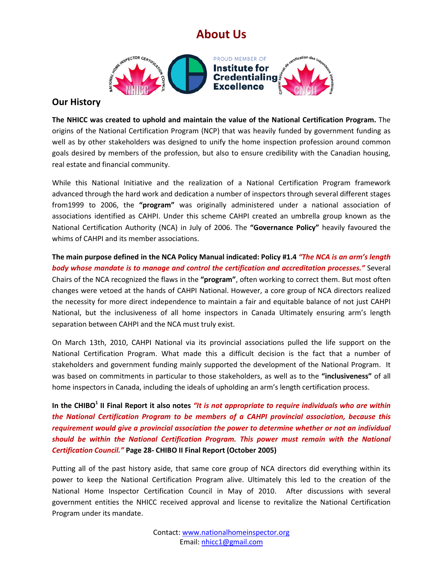## **About Us**



## **Our History**

**The NHICC was created to uphold and maintain the value of the National Certification Program.** The origins of the National Certification Program (NCP) that was heavily funded by government funding as well as by other stakeholders was designed to unify the home inspection profession around common goals desired by members of the profession, but also to ensure credibility with the Canadian housing, real estate and financial community.

While this National Initiative and the realization of a National Certification Program framework advanced through the hard work and dedication a number of inspectors through several different stages from1999 to 2006, the **"program"** was originally administered under a national association of associations identified as CAHPI. Under this scheme CAHPI created an umbrella group known as the National Certification Authority (NCA) in July of 2006. The **"Governance Policy"** heavily favoured the whims of CAHPI and its member associations.

**The main purpose defined in the NCA Policy Manual indicated: Policy #1.4** *"The NCA is an arm's length body whose mandate is to manage and control the certification and accreditation processes."* Several Chairs of the NCA recognized the flaws in the **"program"**, often working to correct them. But most often changes were vetoed at the hands of CAHPI National. However, a core group of NCA directors realized the necessity for more direct independence to maintain a fair and equitable balance of not just CAHPI National, but the inclusiveness of all home inspectors in Canada Ultimately ensuring arm's length separation between CAHPI and the NCA must truly exist.

On March 13th, 2010, CAHPI National via its provincial associations pulled the life support on the National Certification Program. What made this a difficult decision is the fact that a number of stakeholders and government funding mainly supported the development of the National Program. It was based on commitments in particular to those stakeholders, as well as to the **"inclusiveness"** of all home inspectors in Canada, including the ideals of upholding an arm's length certification process.

In the CHIBO<sup>1</sup> II Final Report it also notes *"It is not appropriate to require individuals who are within the National Certification Program to be members of a CAHPI provincial association, because this requirement would give a provincial association the power to determine whether or not an individual should be within the National Certification Program. This power must remain with the National Certification Council."* **Page 28- CHIBO II Final Report (October 2005)**

Putting all of the past history aside, that same core group of NCA directors did everything within its power to keep the National Certification Program alive. Ultimately this led to the creation of the National Home Inspector Certification Council in May of 2010. After discussions with several government entities the NHICC received approval and license to revitalize the National Certification Program under its mandate.